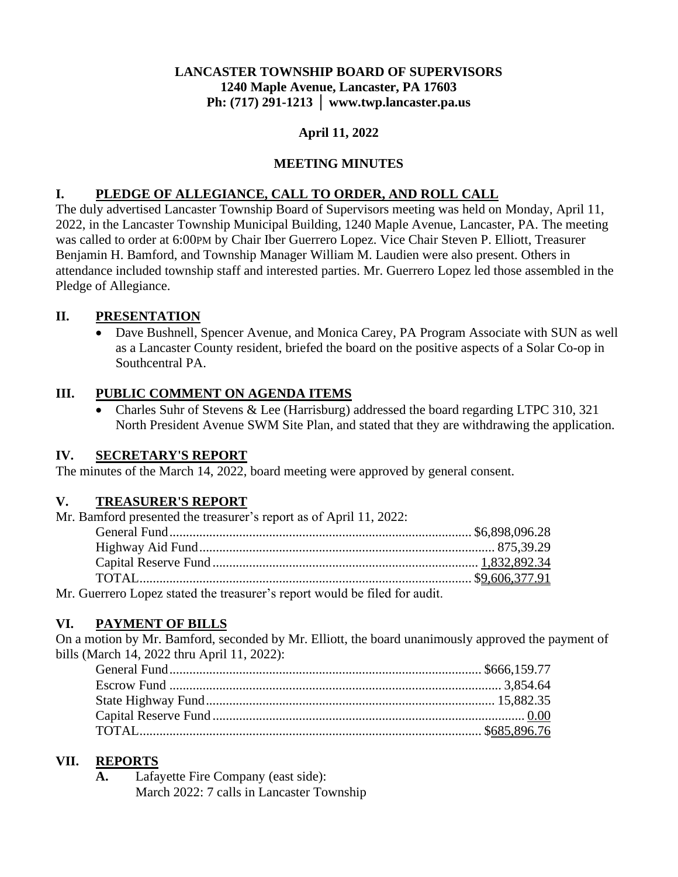## **LANCASTER TOWNSHIP BOARD OF SUPERVISORS 1240 Maple Avenue, Lancaster, PA 17603 Ph: (717) 291-1213 │ www.twp.lancaster.pa.us**

## **April 11, 2022**

## **MEETING MINUTES**

## **I. PLEDGE OF ALLEGIANCE, CALL TO ORDER, AND ROLL CALL**

The duly advertised Lancaster Township Board of Supervisors meeting was held on Monday, April 11, 2022, in the Lancaster Township Municipal Building, 1240 Maple Avenue, Lancaster, PA. The meeting was called to order at 6:00PM by Chair Iber Guerrero Lopez. Vice Chair Steven P. Elliott, Treasurer Benjamin H. Bamford, and Township Manager William M. Laudien were also present. Others in attendance included township staff and interested parties. Mr. Guerrero Lopez led those assembled in the Pledge of Allegiance.

## **II. PRESENTATION**

• Dave Bushnell, Spencer Avenue, and Monica Carey, PA Program Associate with SUN as well as a Lancaster County resident, briefed the board on the positive aspects of a Solar Co-op in Southcentral PA.

## **III. PUBLIC COMMENT ON AGENDA ITEMS**

• Charles Suhr of Stevens & Lee (Harrisburg) addressed the board regarding LTPC 310, 321 North President Avenue SWM Site Plan, and stated that they are withdrawing the application.

#### **IV. SECRETARY'S REPORT**

The minutes of the March 14, 2022, board meeting were approved by general consent.

#### **V. TREASURER'S REPORT**

| Mr. Bamford presented the treasurer's report as of April 11, 2022:         |  |
|----------------------------------------------------------------------------|--|
|                                                                            |  |
|                                                                            |  |
|                                                                            |  |
|                                                                            |  |
| Mr. Guerrero Lopez stated the treasurer's report would be filed for audit. |  |

# **VI. PAYMENT OF BILLS**

On a motion by Mr. Bamford, seconded by Mr. Elliott, the board unanimously approved the payment of bills (March 14, 2022 thru April 11, 2022):

## **VII. REPORTS**

**A.** Lafayette Fire Company (east side): March 2022: 7 calls in Lancaster Township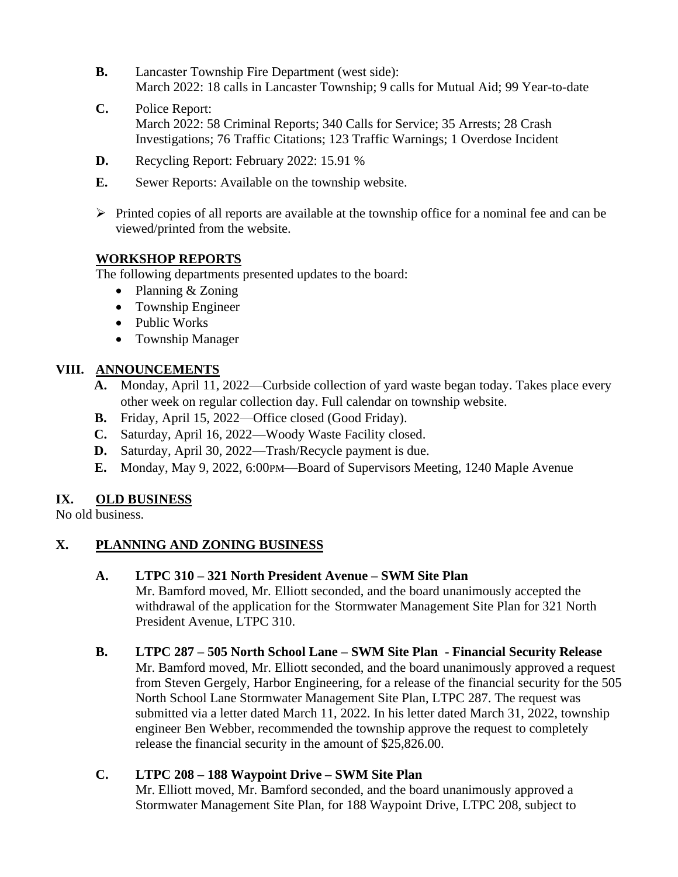- **B.** Lancaster Township Fire Department (west side): March 2022: 18 calls in Lancaster Township; 9 calls for Mutual Aid; 99 Year-to-date
- **C.** Police Report: March 2022: 58 Criminal Reports; 340 Calls for Service; 35 Arrests; 28 Crash Investigations; 76 Traffic Citations; 123 Traffic Warnings; 1 Overdose Incident
- **D.** Recycling Report: February 2022: 15.91 %
- **E.** Sewer Reports: Available on the township website.
- ➢ Printed copies of all reports are available at the township office for a nominal fee and can be viewed/printed from the website.

## **WORKSHOP REPORTS**

The following departments presented updates to the board:

- Planning & Zoning
- Township Engineer
- Public Works
- Township Manager

#### **VIII. ANNOUNCEMENTS**

- **A.** Monday, April 11, 2022—Curbside collection of yard waste began today. Takes place every other week on regular collection day. Full calendar on township website.
- **B.** Friday, April 15, 2022—Office closed (Good Friday).
- **C.** Saturday, April 16, 2022—Woody Waste Facility closed.
- **D.** Saturday, April 30, 2022—Trash/Recycle payment is due.
- **E.** Monday, May 9, 2022, 6:00PM—Board of Supervisors Meeting, 1240 Maple Avenue

#### **IX. OLD BUSINESS**

No old business.

#### **X. PLANNING AND ZONING BUSINESS**

#### **A. LTPC 310 – 321 North President Avenue – SWM Site Plan**

Mr. Bamford moved, Mr. Elliott seconded, and the board unanimously accepted the withdrawal of the application for the Stormwater Management Site Plan for 321 North President Avenue, LTPC 310.

#### **B. LTPC 287 – 505 North School Lane – SWM Site Plan - Financial Security Release**

Mr. Bamford moved, Mr. Elliott seconded, and the board unanimously approved a request from Steven Gergely, Harbor Engineering, for a release of the financial security for the 505 North School Lane Stormwater Management Site Plan, LTPC 287. The request was submitted via a letter dated March 11, 2022. In his letter dated March 31, 2022, township engineer Ben Webber, recommended the township approve the request to completely release the financial security in the amount of \$25,826.00.

#### **C. LTPC 208 – 188 Waypoint Drive – SWM Site Plan**

Mr. Elliott moved, Mr. Bamford seconded, and the board unanimously approved a Stormwater Management Site Plan, for 188 Waypoint Drive, LTPC 208, subject to